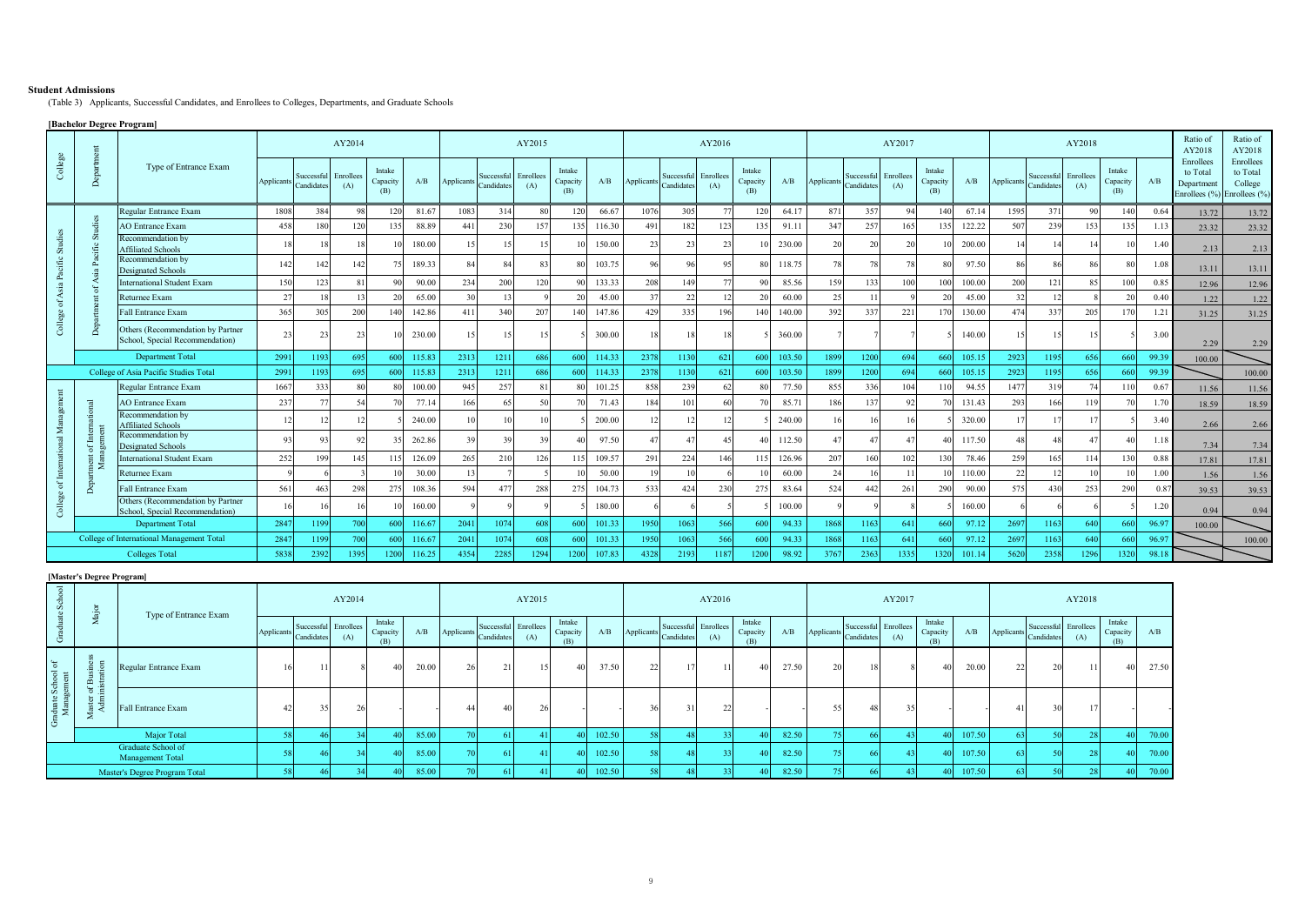# **Student Admissions**

(Table 3) Applicants, Successful Candidates, and Enrollees to Colleges, Departments, and Graduate Schools

# **[Bachelor Degree Program]**

|               |                                       |                                                                      |            |                                    | AY2014 |                    |        |            |                          | AY2015           |                           |        |            |                                    | AY2016         |                           |        |           |                                 | AY2017           |                           |        |            |                          | AY2018           |                           |       | Ratio of<br>AY2018                                  | Ratio of<br>AY2018                                |
|---------------|---------------------------------------|----------------------------------------------------------------------|------------|------------------------------------|--------|--------------------|--------|------------|--------------------------|------------------|---------------------------|--------|------------|------------------------------------|----------------|---------------------------|--------|-----------|---------------------------------|------------------|---------------------------|--------|------------|--------------------------|------------------|---------------------------|-------|-----------------------------------------------------|---------------------------------------------------|
| College       | Depa                                  | Type of Entrance Exam                                                | Applicants | Successful Enrollees<br>Candidates | (A)    | Intake<br>Capacity | A/B    | Applicants | Successful<br>Candidates | Enrollees<br>(A) | Intake<br>Capacity<br>(B) | A/B    | Applicants | Successful Enrollees<br>Candidates | (A)            | Intake<br>Capacity<br>(B) | A/B    | Applicant | Successful<br><b>Tandidates</b> | Enrollees<br>(A) | Intake<br>Capacity<br>(B) | A/B    | Applicants | Successful<br>Candidates | Enrollees<br>(A) | Intake<br>Capacity<br>(B) | A/B   | Enrollees<br>to Total<br>Department<br>Enrollees (% | Enrollees<br>to Total<br>College<br>Enrollees (%) |
|               |                                       | Regular Entrance Exam                                                | 1808       | 384                                | 98     | 120                | 81.67  | 1083       | 314                      | 80               | 120                       | 66.67  | 1076       | 305                                |                | 120                       | 64.17  | 871       | 357                             | 94               | 140                       | 67.14  | 1595       | 371                      | 90               | 140                       | 0.64  | 13.72                                               | 13.72                                             |
|               |                                       | <b>AO</b> Entrance Exam                                              | 458        | 180                                | 120    | 135                | 88.89  | 441        | 230                      | 157              | 135                       | 116.30 | 491        | 182                                | 123            | 135                       | 91.11  | 347       | 257                             | 165              | 135                       | 122.22 | 507        | 239                      | 153              | 135                       | 1.13  | 23.32                                               | 23.32                                             |
| Studies       |                                       | Recommendation by<br><b>Affiliated Schools</b>                       | 18         | 18                                 |        |                    | 180.00 | 15         | 15                       | 15               |                           | 150.00 | 23         | 23                                 | 23             |                           | 230.00 | 20        | 20                              | 20               |                           | 200.00 | 14         | 14                       |                  |                           | 1.40  | 2.13                                                | 2.13                                              |
| Pacific       |                                       | Recommendation by<br><b>Designated Schools</b>                       | 142        | 142                                | 142    |                    | 189.33 | 84         | 84                       | 83               |                           | 103.75 | 96         | 96                                 | 95             |                           | 118.75 | 78        | 78                              |                  | 80                        | 97.50  | 86         | -86                      |                  |                           | 1.08  | 13.11                                               | 13.11                                             |
| Asia          |                                       | International Student Exam                                           | 150        | 123                                |        |                    | 90.00  | 234        | 200                      | 120              |                           | 133.33 | 208        | 149                                |                |                           | 85.56  | 159       | 133                             | 100              | 100                       | 100.00 | 200        | 121                      |                  | 100                       | 0.85  | 12.96                                               | 12.96                                             |
| 5°            |                                       | Returnee Exam                                                        | 27         |                                    |        |                    | 65.00  |            | 13                       |                  | 20                        | 45.00  | 37         | 22                                 |                |                           | 60.00  | 25        |                                 |                  |                           | 45.00  | 32         | 12                       |                  | 20                        | 0.40  | 1.22                                                | 1.22                                              |
|               |                                       | <b>Fall Entrance Exam</b>                                            | 365        | 305                                | 200    | 140                | 142.86 | 411        | 340                      | 207              | 140                       | 147.86 | 429        | 335                                | 196            | 14 <sub>1</sub>           | 140.00 | 392       | 337                             | 221              |                           | 130.00 | 474        | 337                      | 205              | 170                       | 1.21  | 31.25                                               | 31.25                                             |
| Colle;        |                                       | Others (Recommendation by Partner<br>School, Special Recommendation) | 23         | 23                                 | 23     |                    | 230.00 | 15         | -15                      |                  |                           | 300.00 | 18         |                                    | 18             |                           | 360.00 |           |                                 |                  |                           | 140.00 | 15         | 15                       |                  |                           | 3.00  | 2.29                                                | 2.29                                              |
|               |                                       | Department Total                                                     | 2991       | 1193                               | 695    | 600                | 115.83 | 2313       | 1211                     | 686              | 600                       | 114.33 | 2378       | 1130                               | 621            | 60                        | 103.50 | 1899      | 1200                            | 694              | 660                       | 105.15 | 2923       | 1195                     | 656              | 660                       | 99.39 | 100.00                                              |                                                   |
|               | College of Asia Pacific Studies Total |                                                                      | 2991       | 1193                               | 695    | 600                | 115.83 | 2313       | 1211                     | 686              | 600                       | 114.33 | 2378       | 1130                               | 621            | 60                        | 103.50 | 1899      | 1200                            | 694              | 660                       | 105.15 | 2923       | 1195                     | 656              | 660                       | 99.39 |                                                     | 100.00                                            |
|               |                                       | Regular Entrance Exam                                                | 166'       | 333                                | 80     |                    | 100.00 | 945        | 257                      | 81               |                           | 101.25 | 858        | 239                                |                |                           | 77.50  | 855       | 336                             | 10 <sup>2</sup>  |                           | 94.55  | 1477       | 319                      |                  | 110                       | 0.67  | 11.56                                               | 11.56                                             |
|               |                                       | <b>AO</b> Entrance Exam                                              | 237        |                                    | 54     |                    | 77.14  | 166        | 65                       | 50               |                           | 71.43  | 184        | 101                                | 60             |                           | 85.71  | 186       | 137                             |                  |                           | 131.43 | 293        | 166                      | 119              |                           | 1.70  | 18.59                                               | 18.59                                             |
|               |                                       | Recommendation by<br><b>Affiliated Schools</b>                       |            |                                    |        |                    | 240.00 |            | 10                       | 10               |                           | 200.00 | 12         |                                    |                |                           | 240.00 |           |                                 |                  |                           | 320.00 | 17         | 17                       |                  |                           | 3.40  | 2.66                                                | 2.66                                              |
|               |                                       | Recommendation by<br><b>Designated Schools</b>                       | 93         | 93                                 | 92     |                    | 262.86 | 39         | 39                       | 39               |                           | 97.50  | 47         |                                    | 4 <sup>5</sup> |                           | 112.50 | 47        | 47                              |                  | 40.                       | 117.50 | 48         |                          |                  |                           | 1.18  | 7.34                                                | 7.34                                              |
|               | ≍                                     | International Student Exam                                           | 252        | 199                                | 145    | 115                | 126.09 | 265        | 210                      | 126              | 115                       | 109.57 | 291        | 224                                | 146            | 11                        | 126.96 | 207       | 160                             | 102              | 130                       | 78.46  | 259        | 165                      | 114              | 130                       | 0.88  | 17.81                                               | 17.81                                             |
|               |                                       | Returnee Exam                                                        |            |                                    |        |                    | 30.00  |            |                          |                  |                           | 50.00  | 19         |                                    |                |                           | 60.00  | 24        |                                 |                  |                           | 110.00 | 22         |                          |                  |                           | 1.00  | 1.56                                                | 1.56                                              |
| ू<br>$\omega$ | Ó                                     | <b>Fall Entrance Exam</b>                                            | 561        | 463                                | 298    | 275                | 108.36 | 594        | 477                      | 288              | 275                       | 104.73 | 533        | 424                                | 230            | 275                       | 83.64  | 524       | 442                             | 261              | 290                       | 90.00  | 575        | 430                      | 253              | 290                       | 0.87  | 39.53                                               | 39.53                                             |
| College       |                                       | Others (Recommendation by Partner<br>School, Special Recommendation) | 16         |                                    |        |                    | 160.00 |            |                          |                  |                           | 180.00 |            |                                    |                |                           | 100.00 |           |                                 |                  |                           | 160.00 |            |                          |                  |                           | 1.20  | 0.94                                                | 0.94                                              |
|               |                                       | Department Total                                                     | 2847       | 1199                               | 700    | 600                | 116.67 | 2041       | 1074                     | 608              | 600                       | 101.33 | 1950       | 1063                               | 566            | 60                        | 94.33  | 1868      | 1163                            | 641              | 660                       | 97.12  | 2697       | 1163                     | 640              | 660                       | 96.97 | 100.00                                              |                                                   |
|               |                                       | College of International Management Total                            | 284        | 1199                               | 700    | 600                | 116.67 | 2041       | 1074                     | 608              | 600                       | 101.33 | 1950       | 1063                               | 566            | 60                        | 94.33  | 1868      | 1163                            | 641              | 660                       | 97.12  | 2697       | 1163                     | 640              | 660                       | 96.9  |                                                     | 100.00                                            |
|               | <b>Colleges Total</b>                 |                                                                      | 5838       | 2392                               | 1395   | 1200               | 116.25 | 4354       | 2285                     | 1294             | 1200                      | 107.83 | 4328       | 2193                               | 1187           | 120                       | 98.92  | 3767      | 2363                            | 1335             | 1320                      | 101.14 | 5620       | 2358                     | 1296             | 1320                      | 98.1  |                                                     |                                                   |

## **[Master's Degree Program]**

| Ō                              |                                        | Type of Entrance Exam     |            |                                    | AY2014 |                    |       | AY2015     |                                    |     |                           |        |            | AY2016     |                             |                    |       |            |            | AY2017                      |                    |        |            |            |                             | AY2018             |       |  |  |  |  |
|--------------------------------|----------------------------------------|---------------------------|------------|------------------------------------|--------|--------------------|-------|------------|------------------------------------|-----|---------------------------|--------|------------|------------|-----------------------------|--------------------|-------|------------|------------|-----------------------------|--------------------|--------|------------|------------|-----------------------------|--------------------|-------|--|--|--|--|
| Θ                              |                                        |                           | Applicants | Successful Enrollees<br>Candidates | (A)    | Intake<br>Capacity | A/B   | Applicants | Successful Enrollees<br>Candidates | (A) | Intake<br>Capacity<br>(B) | A/B    | Applicants | Candidates | Successful Enrollees<br>(A) | Intake<br>Capacity | A/B   | Applicants | Candidates | Successful Enrollees<br>(A) | Intake<br>Capacity | A/B    | Applicants | Candidates | Successful Enrollees<br>(A) | Intake<br>Capacity | A/B   |  |  |  |  |
| aduate School of<br>Management | മ                                      | Regular Entrance Exam     |            |                                    |        |                    | 20.00 | 26         | 21                                 | 15  | 40.                       | 37.50  |            |            |                             | 40                 | 27.50 |            |            |                             | 40                 | 20.00  | 22         | 20         | 11                          |                    | 27.50 |  |  |  |  |
| ö                              | $O+$<br>se<br>Se                       | <b>Fall Entrance Exam</b> | 42         |                                    |        |                    |       |            | 40                                 | 26  |                           |        |            | 31         |                             |                    |       | 55         |            | 35                          |                    |        | 41         | 30         |                             |                    |       |  |  |  |  |
|                                |                                        | Major Total               |            |                                    |        |                    | 85.00 |            |                                    |     |                           | 102.50 |            |            |                             | 40.                | 82.50 |            |            |                             |                    | 107.50 |            |            |                             |                    | 70.00 |  |  |  |  |
|                                | Graduate School of<br>Management Total |                           |            |                                    |        |                    | 85.00 | 70         |                                    | 41  |                           | 102.50 |            |            |                             | 40                 | 82.50 |            |            |                             |                    | 107.50 | 631        |            |                             |                    | 70.00 |  |  |  |  |
|                                | Master's Degree Program Total          |                           |            |                                    |        |                    | 85.00 |            |                                    |     |                           | 102.50 |            |            |                             | 40 I               | 82.50 |            |            |                             |                    | 107.50 |            |            |                             |                    | 70.00 |  |  |  |  |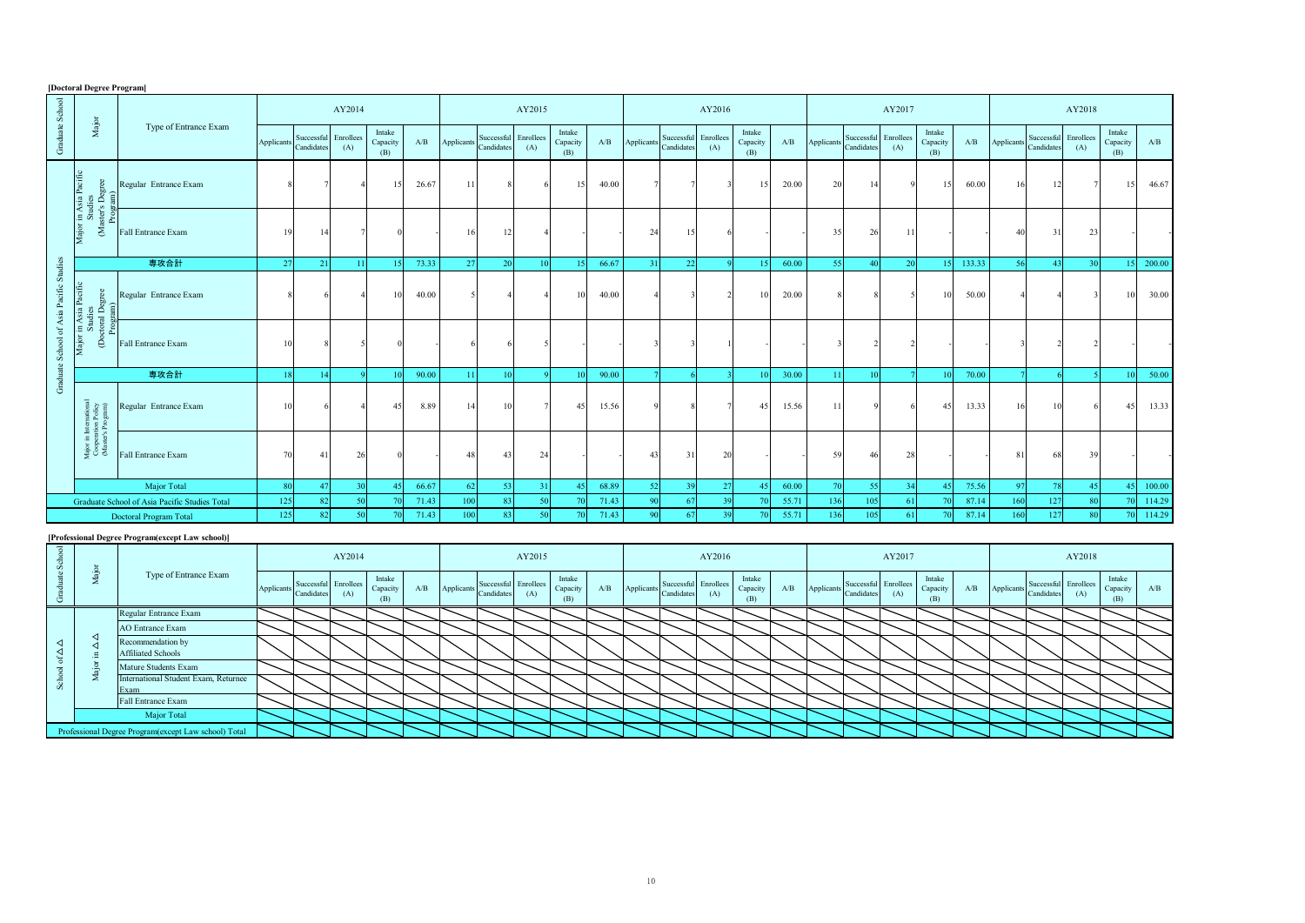| [Doctoral Degree Program] |                                                                  |                                               |              |                          |                  |                           |       |            |                          |                  |                           |       |            |                                    |        |                           |       |            |                          |                  |                           |        |            |                                    |        |                           |           |
|---------------------------|------------------------------------------------------------------|-----------------------------------------------|--------------|--------------------------|------------------|---------------------------|-------|------------|--------------------------|------------------|---------------------------|-------|------------|------------------------------------|--------|---------------------------|-------|------------|--------------------------|------------------|---------------------------|--------|------------|------------------------------------|--------|---------------------------|-----------|
|                           |                                                                  |                                               |              |                          | AY2014           |                           |       |            |                          | AY2015           |                           |       |            |                                    | AY2016 |                           |       |            |                          | AY2017           |                           |        |            |                                    | AY2018 |                           |           |
| Graduate School           | $_{\rm Major}$                                                   | Type of Entrance Exam                         | Applicants   | Successful<br>Candidates | Enrollees<br>(A) | Intake<br>Capacity<br>(B) | A/B   | Applicants | Successful<br>Candidates | Enrollees<br>(A) | Intake<br>Capacity<br>(B) | A/B   | Applicants | Successful Enrollees<br>Candidates | (A)    | Intake<br>Capacity<br>(B) | A/B   | Applicants | Successful<br>Candidates | Enrollees<br>(A) | Intake<br>Capacity<br>(B) | A/B    | Applicants | Successful Enrollees<br>Candidates | (A)    | Intake<br>Capacity<br>(B) | A/B       |
|                           | Major in Asia Pacific<br>Studies<br>(Master's Degree<br>Program) | Regular Entrance Exam                         | $\mathbf{R}$ |                          |                  |                           | 26.67 | 11         | 8                        | 6                | 15                        | 40.00 |            |                                    |        | 15                        | 20.00 | 20         | 14                       |                  | 15                        | 60.00  | 16         | 12                                 |        | 15                        | 46.67     |
|                           |                                                                  | <b>Fall Entrance Exam</b>                     | 19           | 14                       |                  |                           |       | 16         | 12                       |                  |                           |       | 24         |                                    |        |                           |       | 35         | 26                       |                  |                           |        | 40         | 31                                 | 23     |                           |           |
|                           |                                                                  | 専攻合計                                          | 27           | 21                       |                  |                           | 73.33 | 27         | 20                       | 10               | 15                        | 66.67 | 31         | -22                                |        |                           | 60.00 | 55         | 40                       | 20               |                           | 133.33 | 56         | 43                                 | 30     |                           | 200.00    |
| Asia Pacific Studies      | fajor in Asia Pacific<br>Studies<br>(Doctoral Degree<br>Program) | Regular Entrance Exam                         |              | -6                       |                  |                           | 40.00 |            |                          |                  | 10 <sup>1</sup>           | 40.00 |            |                                    |        | 10                        | 20.00 |            |                          |                  | 10                        | 50.00  |            |                                    |        | 10 <sup>1</sup>           | 30.00     |
| Graduate School of        | ě                                                                | <b>Fall Entrance Exam</b>                     | 10           |                          |                  |                           |       |            |                          |                  |                           |       |            |                                    |        |                           |       |            |                          |                  |                           |        |            |                                    |        |                           |           |
|                           |                                                                  | 専攻合計                                          | 18           | 14                       |                  |                           | 90.00 | 11         | 10                       |                  | 10                        | 90.00 |            |                                    |        | 10                        | 30.00 | 11         | 10 <sup>1</sup>          |                  |                           | 70.00  |            |                                    |        | 10 <sup>1</sup>           | 50.00     |
|                           | in International<br>peration Policy<br>ster's Program)           | Regular Entrance Exam                         | 10           | 6                        |                  |                           | 8.89  | 14         | 10                       |                  | 45                        | 15.56 |            |                                    |        | 45                        | 15.56 | 11         |                          |                  | -45                       | 13.33  | 16         | 10 <sup>2</sup>                    |        | 45                        | 13.33     |
|                           | Major i<br>Coope<br>(Maste                                       | <b>Fall Entrance Exam</b>                     | 70           | 41                       | 26               |                           |       | 48         | 43                       | 24               |                           |       |            | 31                                 | 20     |                           |       | 59         | 46                       | 28               |                           |        | 81         | 68                                 | 39     |                           |           |
|                           |                                                                  | Major Total                                   | 80           | 47                       | 30 <sub>1</sub>  | 45                        | 66.67 | 62         | 53                       | 31               | 45                        | 68.89 | 52         | 39                                 | 27     | 45                        | 60.00 | 70         | 55                       | 34               | $\mathbf{A}^t$            | 75.56  | 97         | 78                                 | 45     | 45                        | 100.00    |
|                           |                                                                  | Graduate School of Asia Pacific Studies Total | 125          | 82                       | 50               |                           | 71.43 | 100        | 83                       | 50               | 70                        | 71.43 | 90         | -67                                | 39     | 70                        | 55.71 | 136        | 105                      | 61               | 70                        | 87.14  | 160        | 127                                | 80     | <b>70</b>                 | 114.29    |
|                           |                                                                  | Doctoral Program Total                        | 125          | 82                       | 50               | 70                        | 71.43 | 100        | 83                       | 50               | 70                        | 71.43 | 90         | -67                                | 39     | 70                        | 55.71 | 136        | 105                      | 61               | 70                        | 87.14  | 160        | 127                                | 80     |                           | 70 114.29 |

## **[Professional Degree Program(except Law school)]**

|   |                                                      |            |                                    | AY2014 |                           |     | AY2015                |  |                             |                           |     |            | AY2016     |                             |                    |     |            |            | AY2017                      |                           |     | AY2018                |  |                             |                           |     |  |
|---|------------------------------------------------------|------------|------------------------------------|--------|---------------------------|-----|-----------------------|--|-----------------------------|---------------------------|-----|------------|------------|-----------------------------|--------------------|-----|------------|------------|-----------------------------|---------------------------|-----|-----------------------|--|-----------------------------|---------------------------|-----|--|
|   | Type of Entrance Exam                                | Applicants | Successful Enrollees<br>Candidates | (A)    | Intake<br>Capacity<br>(B) | A/B | Applicants Candidates |  | Successful Enrollees<br>(A) | Intake<br>Capacity<br>(B) | A/B | Applicants | Candidates | Successful Enrollees<br>(A) | Intake<br>Capacity | A/B | Applicants | Candidates | Successful Enrollees<br>(A) | Intake<br>Capacity<br>(B) | A/B | Applicants Candidates |  | Successful Enrollees<br>(A) | Intake<br>Capacity<br>(B) | A/B |  |
|   | Regular Entrance Exam                                |            |                                    |        |                           |     |                       |  |                             |                           |     |            |            |                             |                    |     |            |            |                             |                           |     |                       |  |                             |                           |     |  |
|   | <b>AO</b> Entrance Exam                              |            |                                    |        |                           |     |                       |  |                             |                           |     |            |            |                             |                    |     |            |            |                             |                           |     |                       |  |                             |                           |     |  |
|   | Recommendation by<br>Affiliated Schools              |            |                                    |        |                           |     |                       |  |                             |                           |     |            |            |                             |                    |     |            |            |                             |                           |     |                       |  |                             |                           |     |  |
|   | Mature Students Exam                                 |            |                                    |        |                           |     |                       |  |                             |                           |     |            |            |                             |                    |     |            |            |                             |                           |     |                       |  |                             |                           |     |  |
| 2 | International Student Exam, Returnee<br>Exam         |            |                                    |        |                           |     |                       |  |                             |                           |     |            |            |                             |                    |     |            |            |                             |                           |     |                       |  |                             |                           |     |  |
|   | Fall Entrance Exam                                   |            |                                    |        |                           |     |                       |  |                             |                           |     |            |            |                             |                    |     |            |            |                             |                           |     |                       |  |                             |                           |     |  |
|   | Major Total                                          |            |                                    |        |                           |     |                       |  |                             |                           |     |            |            |                             |                    |     |            |            |                             |                           |     |                       |  |                             |                           |     |  |
|   | Professional Degree Program(except Law school) Total |            |                                    |        |                           |     |                       |  |                             |                           |     |            |            |                             |                    |     |            |            |                             |                           |     |                       |  |                             |                           |     |  |